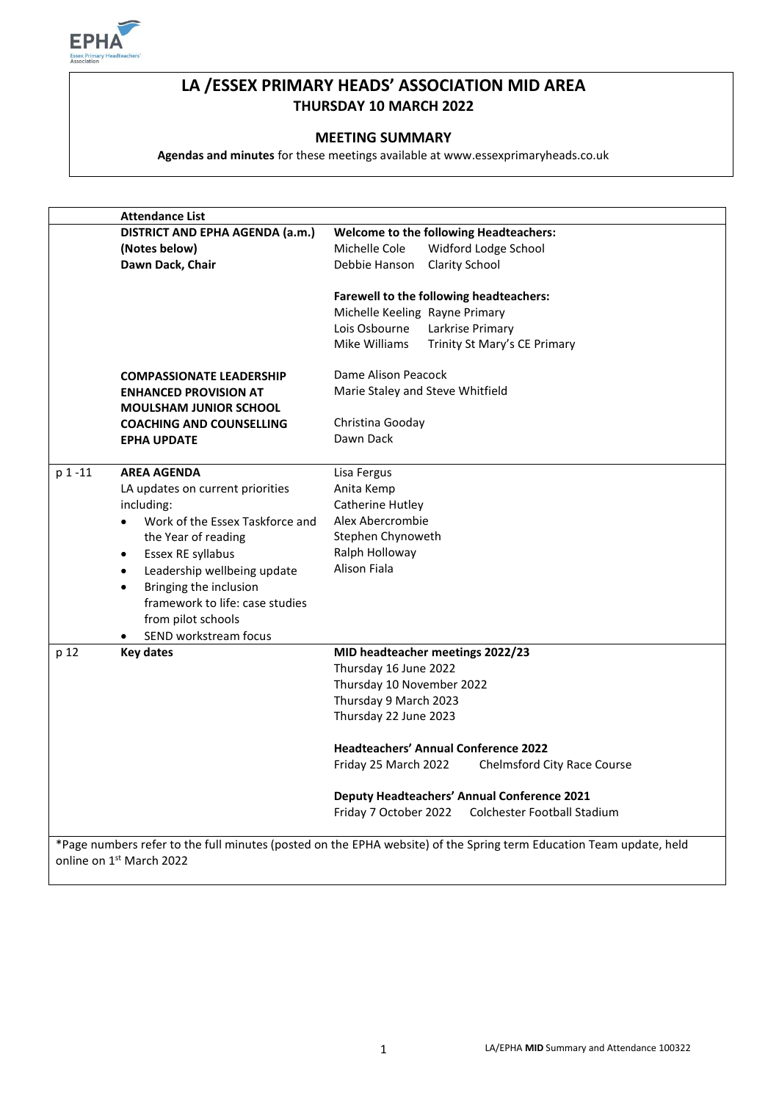

# **LA /ESSEX PRIMARY HEADS' ASSOCIATION MID AREA THURSDAY 10 MARCH 2022**

# **MEETING SUMMARY**

**Agendas and minutes** for these meetings available at www.essexprimaryheads.co.uk

|                          | <b>Attendance List</b>                       |                                                                                                                     |  |
|--------------------------|----------------------------------------------|---------------------------------------------------------------------------------------------------------------------|--|
|                          | DISTRICT AND EPHA AGENDA (a.m.)              | <b>Welcome to the following Headteachers:</b>                                                                       |  |
|                          | (Notes below)                                | Michelle Cole<br>Widford Lodge School                                                                               |  |
|                          | Dawn Dack, Chair                             | Debbie Hanson<br><b>Clarity School</b>                                                                              |  |
|                          |                                              | Farewell to the following headteachers:                                                                             |  |
|                          |                                              | Michelle Keeling Rayne Primary                                                                                      |  |
|                          |                                              | Lois Osbourne<br>Larkrise Primary                                                                                   |  |
|                          |                                              | Mike Williams<br>Trinity St Mary's CE Primary                                                                       |  |
|                          | <b>COMPASSIONATE LEADERSHIP</b>              | Dame Alison Peacock                                                                                                 |  |
|                          | <b>ENHANCED PROVISION AT</b>                 | Marie Staley and Steve Whitfield                                                                                    |  |
|                          | <b>MOULSHAM JUNIOR SCHOOL</b>                |                                                                                                                     |  |
|                          | <b>COACHING AND COUNSELLING</b>              | Christina Gooday                                                                                                    |  |
|                          |                                              | Dawn Dack                                                                                                           |  |
|                          | <b>EPHA UPDATE</b>                           |                                                                                                                     |  |
| p 1-11                   | <b>AREA AGENDA</b>                           | Lisa Fergus                                                                                                         |  |
|                          | LA updates on current priorities             | Anita Kemp                                                                                                          |  |
|                          | including:                                   | Catherine Hutley                                                                                                    |  |
|                          | Work of the Essex Taskforce and<br>$\bullet$ | Alex Abercrombie                                                                                                    |  |
|                          | the Year of reading                          | Stephen Chynoweth                                                                                                   |  |
|                          | Essex RE syllabus<br>$\bullet$               | Ralph Holloway                                                                                                      |  |
|                          | Leadership wellbeing update<br>$\bullet$     | Alison Fiala                                                                                                        |  |
|                          | Bringing the inclusion<br>$\bullet$          |                                                                                                                     |  |
|                          | framework to life: case studies              |                                                                                                                     |  |
|                          | from pilot schools                           |                                                                                                                     |  |
|                          | SEND workstream focus<br>$\bullet$           |                                                                                                                     |  |
| p 12                     | <b>Key dates</b>                             | MID headteacher meetings 2022/23                                                                                    |  |
|                          |                                              | Thursday 16 June 2022                                                                                               |  |
|                          |                                              | Thursday 10 November 2022                                                                                           |  |
|                          |                                              | Thursday 9 March 2023                                                                                               |  |
|                          |                                              | Thursday 22 June 2023                                                                                               |  |
|                          |                                              | <b>Headteachers' Annual Conference 2022</b>                                                                         |  |
|                          |                                              | Friday 25 March 2022<br>Chelmsford City Race Course                                                                 |  |
|                          |                                              |                                                                                                                     |  |
|                          |                                              | <b>Deputy Headteachers' Annual Conference 2021</b>                                                                  |  |
|                          |                                              | Friday 7 October 2022<br>Colchester Football Stadium                                                                |  |
|                          |                                              |                                                                                                                     |  |
|                          |                                              | *Page numbers refer to the full minutes (posted on the EPHA website) of the Spring term Education Team update, held |  |
| online on 1st March 2022 |                                              |                                                                                                                     |  |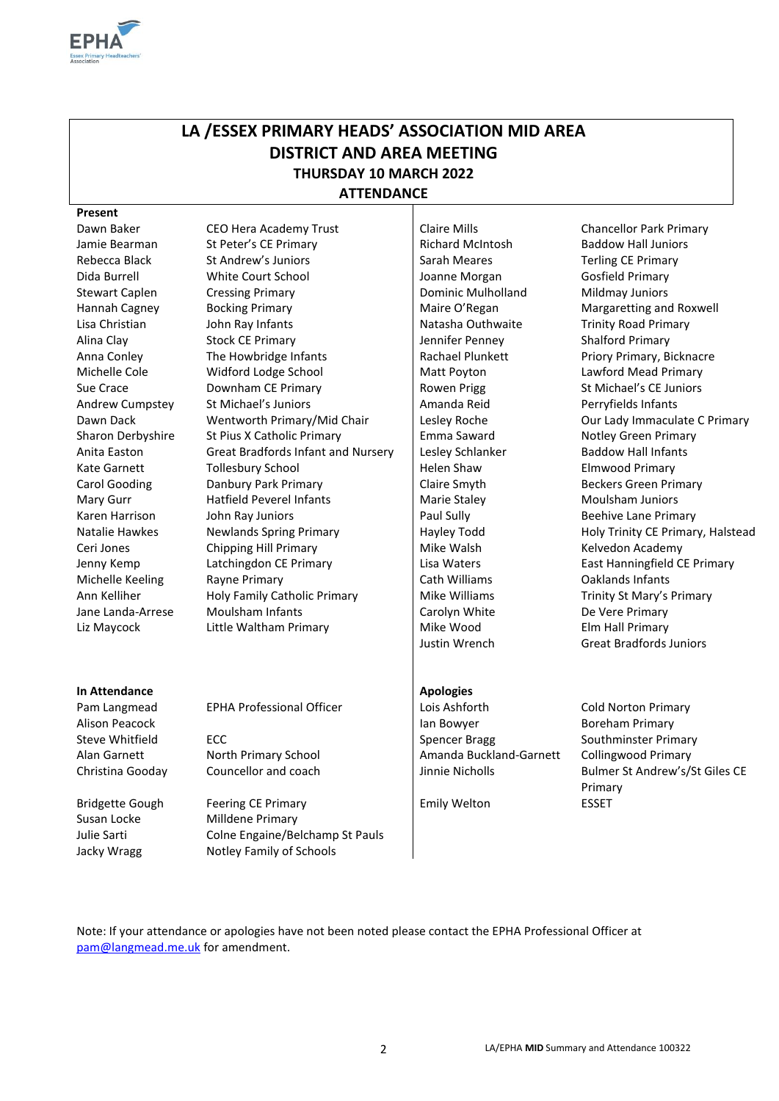

# **LA /ESSEX PRIMARY HEADS' ASSOCIATION MID AREA DISTRICT AND AREA MEETING THURSDAY 10 MARCH 2022**

**ATTENDANCE**

#### **Present**

Dawn Baker CEO Hera Academy Trust Claire Mills Chancellor Park Primary Jamie Bearman St Peter's CE Primary Richard McIntosh Baddow Hall Juniors Rebecca Black St Andrew's Juniors St Andrew's St Andrewis St Andrew St Andrew St Andrew St Andrew St Andrew St Sarah Meares St Andrew St Andrew St Andrew St Andrew St Andrew St Andrew St Andrew St Andrew St Andrew St Andre Dida Burrell White Court School Joanne Morgan Gosfield Primary Stewart Caplen Cressing Primary Cressing Primary Dominic Mulholland Mildmay Juniors Hannah Cagney Bocking Primary **Margaretting and Roxwell** Maire O'Regan Margaretting and Roxwell Lisa Christian John Ray Infants **Natasha Outhwaite** Trinity Road Primary Alina Clay Stock CE Primary Jennifer Penney Shalford Primary Anna Conley The Howbridge Infants | Rachael Plunkett Priory Primary, Bicknacre Michelle Cole **Widford Lodge School** Matt Poyton Lawford Mead Primary Sue Crace **Sue Crace** Downham CE Primary **Rowen Prigg St Michael's CE Juniors** St Michael's CE Juniors Andrew Cumpstey St Michael's Juniors Amanda Reid Perryfields Infants Dawn Dack Wentworth Primary/Mid Chair Lesley Roche Cour Lady Immaculate C Primary Sharon Derbyshire St Pius X Catholic Primary **Emma Saward Notley Green Primary Emma** Saward Notley Green Primary Anita Easton Great Bradfords Infant and Nursery | Lesley Schlanker Baddow Hall Infants Kate Garnett Tollesbury School | Helen Shaw Elmwood Primary Carol Gooding **Danbury Park Primary Claire Smyth** Claire Smyth Beckers Green Primary Mary Gurr **Hatfield Peverel Infants** Marie Staley Marie Staley Moulsham Juniors Karen Harrison John Ray Juniors Paul Sully Paul Sully Beehive Lane Primary Natalie Hawkes Newlands Spring Primary Hayley Todd Holy Trinity CE Primary, Halstead Ceri Jones Chipping Hill Primary Nike Walsh Kelvedon Academy Jenny Kemp Latchingdon CE Primary Lisa Waters East Hanningfield CE Primary Michelle Keeling Rayne Primary Cath Williams Caklands Infants Ann Kelliher **Holy Family Catholic Primary** Mike Williams Trinity St Mary's Primary Jane Landa-Arrese Moulsham Infants Carolyn White De Vere Primary Liz Maycock Little Waltham Primary Nike Wood Elm Hall Primary

Justin Wrench Great Bradfords Juniors

#### **In Attendance Apologies Apologies Apologies**

Susan Locke Milldene Primary

Bridgette Gough Feering CE Primary Feering The Emily Welton ESSET Julie Sarti Colne Engaine/Belchamp St Pauls Jacky Wragg Notley Family of Schools

Pam Langmead EPHA Professional Officer Lois Ashforth Cold Norton Primary Alison Peacock **Ian Bowyer** Ian Bowyer Boreham Primary Steve Whitfield ECC ECC ECC ECC ECC ECC ESPENDIAL Spencer Bragg Southminster Primary Alan Garnett North Primary School Amanda Buckland-Garnett Collingwood Primary

Christina Gooday Councellor and coach Jinnie Nicholls Bulmer St Andrew's/St Giles CE Primary

Note: If your attendance or apologies have not been noted please contact the EPHA Professional Officer at [pam@langmead.me.uk](mailto:pam@langmead.me.uk) for amendment.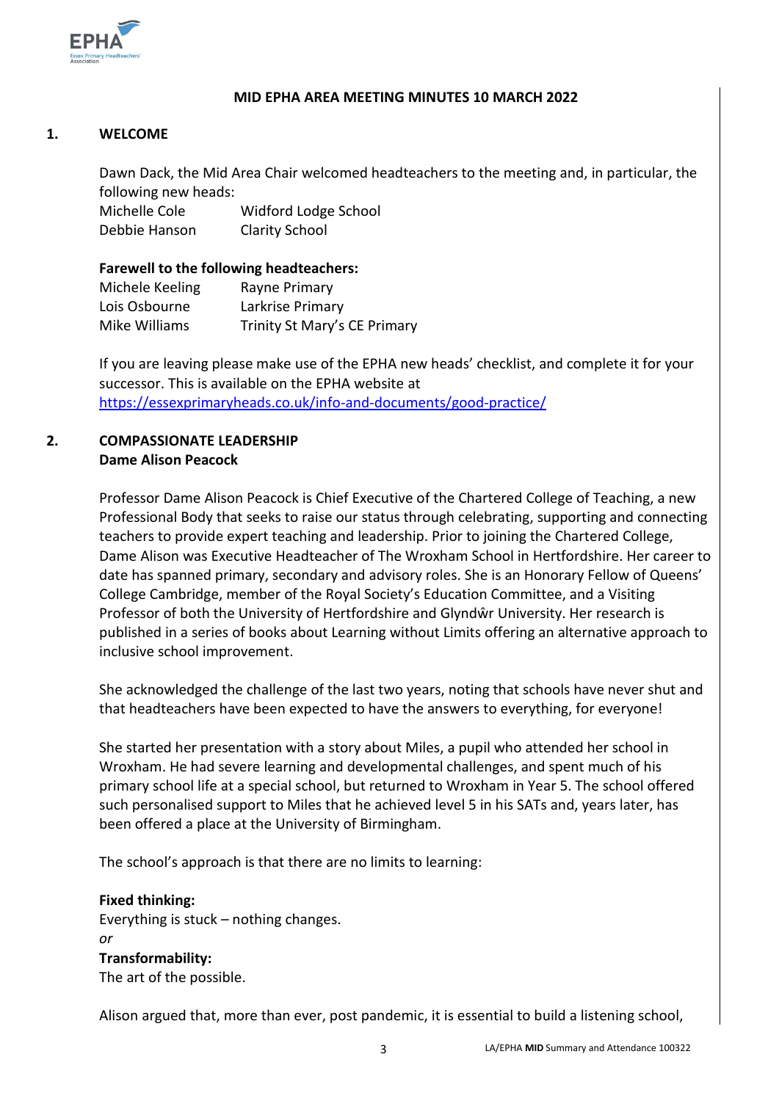

### **MID EPHA AREA MEETING MINUTES 10 MARCH 2022**

# **1. WELCOME**

Dawn Dack, the Mid Area Chair welcomed headteachers to the meeting and, in particular, the following new heads:

Michelle Cole Widford Lodge School Debbie Hanson Clarity School

### **Farewell to the following headteachers:**

| Michele Keeling | Rayne Primary                |
|-----------------|------------------------------|
| Lois Osbourne   | Larkrise Primary             |
| Mike Williams   | Trinity St Mary's CE Primary |

If you are leaving please make use of the EPHA new heads' checklist, and complete it for your successor. This is available on the EPHA website at <https://essexprimaryheads.co.uk/info-and-documents/good-practice/>

# **2. COMPASSIONATE LEADERSHIP Dame Alison Peacock**

Professor Dame Alison Peacock is Chief Executive of the Chartered College of Teaching, a new Professional Body that seeks to raise our status through celebrating, supporting and connecting teachers to provide expert teaching and leadership. Prior to joining the Chartered College, Dame Alison was Executive Headteacher of The Wroxham School in Hertfordshire. Her career to date has spanned primary, secondary and advisory roles. She is an Honorary Fellow of Queens' College Cambridge, member of the Royal Society's Education Committee, and a Visiting Professor of both the University of Hertfordshire and Glyndŵr University. Her research is published in a series of books about Learning without Limits offering an alternative approach to inclusive school improvement.

She acknowledged the challenge of the last two years, noting that schools have never shut and that headteachers have been expected to have the answers to everything, for everyone!

She started her presentation with a story about Miles, a pupil who attended her school in Wroxham. He had severe learning and developmental challenges, and spent much of his primary school life at a special school, but returned to Wroxham in Year 5. The school offered such personalised support to Miles that he achieved level 5 in his SATs and, years later, has been offered a place at the University of Birmingham.

The school's approach is that there are no limits to learning:

**Fixed thinking:** Everything is stuck – nothing changes. *or* **Transformability:**  The art of the possible.

Alison argued that, more than ever, post pandemic, it is essential to build a listening school,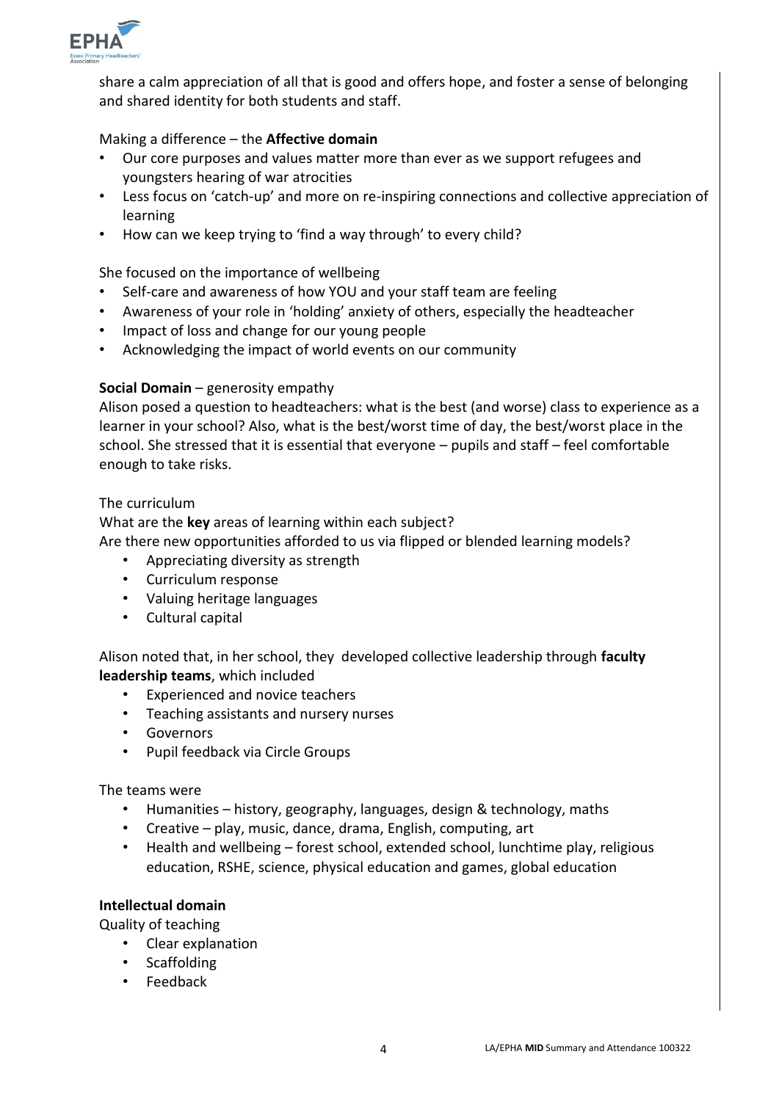

share a calm appreciation of all that is good and offers hope, and foster a sense of belonging and shared identity for both students and staff.

# Making a difference – the **Affective domain**

- Our core purposes and values matter more than ever as we support refugees and youngsters hearing of war atrocities
- Less focus on 'catch-up' and more on re-inspiring connections and collective appreciation of learning
- How can we keep trying to 'find a way through' to every child?

## She focused on the importance of wellbeing

- Self-care and awareness of how YOU and your staff team are feeling
- Awareness of your role in 'holding' anxiety of others, especially the headteacher
- Impact of loss and change for our young people
- Acknowledging the impact of world events on our community

# **Social Domain** – generosity empathy

Alison posed a question to headteachers: what is the best (and worse) class to experience as a learner in your school? Also, what is the best/worst time of day, the best/worst place in the school. She stressed that it is essential that everyone – pupils and staff – feel comfortable enough to take risks.

#### The curriculum

What are the **key** areas of learning within each subject? Are there new opportunities afforded to us via flipped or blended learning models?

- Appreciating diversity as strength
- Curriculum response
- Valuing heritage languages
- Cultural capital

Alison noted that, in her school, they developed collective leadership through **faculty leadership teams**, which included

- Experienced and novice teachers
- Teaching assistants and nursery nurses
- Governors
- Pupil feedback via Circle Groups

#### The teams were

- Humanities history, geography, languages, design & technology, maths
- Creative play, music, dance, drama, English, computing, art
- Health and wellbeing forest school, extended school, lunchtime play, religious education, RSHE, science, physical education and games, global education

#### **Intellectual domain**

Quality of teaching

- Clear explanation
- Scaffolding
- Feedback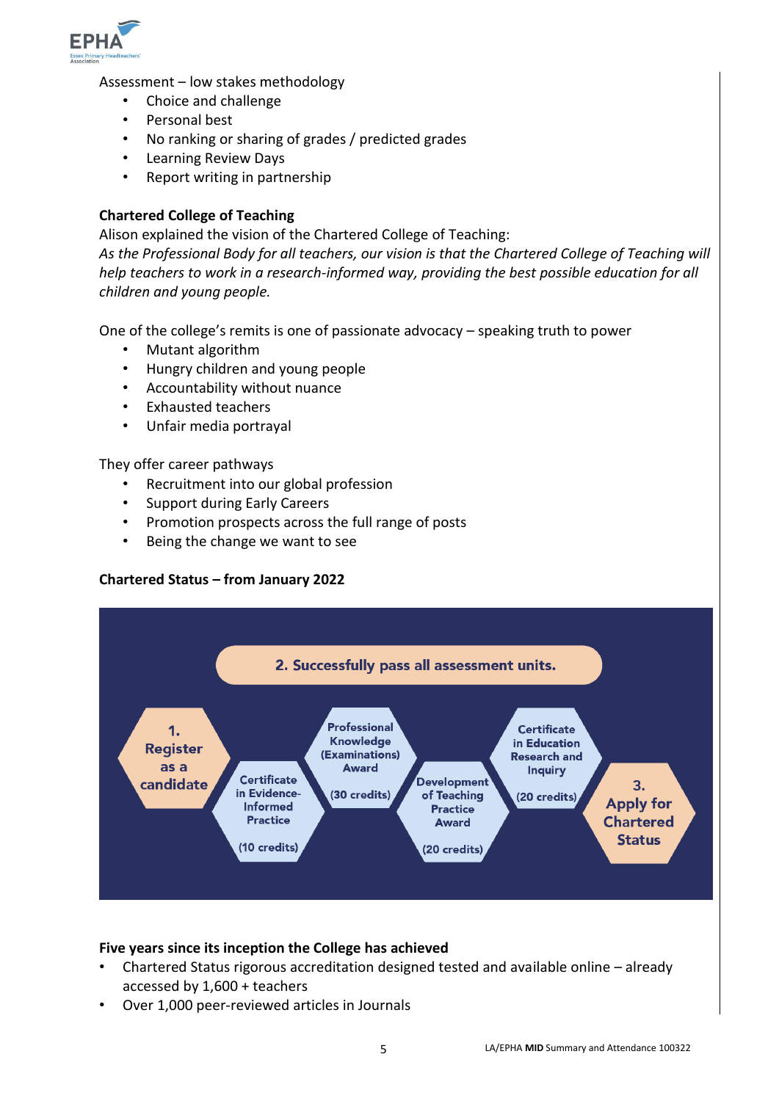

Assessment – low stakes methodology

- Choice and challenge
- Personal best
- No ranking or sharing of grades / predicted grades
- Learning Review Days
- Report writing in partnership

# **Chartered College of Teaching**

Alison explained the vision of the Chartered College of Teaching:

*As the Professional Body for all teachers, our vision is that the Chartered College of Teaching will help teachers to work in a research-informed way, providing the best possible education for all children and young people.*

One of the college's remits is one of passionate advocacy – speaking truth to power

- Mutant algorithm
- Hungry children and young people
- Accountability without nuance
- Exhausted teachers
- Unfair media portrayal

They offer career pathways

- Recruitment into our global profession
- Support during Early Careers
- Promotion prospects across the full range of posts
- Being the change we want to see

#### **Chartered Status – from January 2022**



#### **Five years since its inception the College has achieved**

- Chartered Status rigorous accreditation designed tested and available online already accessed by 1,600 + teachers
- Over 1,000 peer-reviewed articles in Journals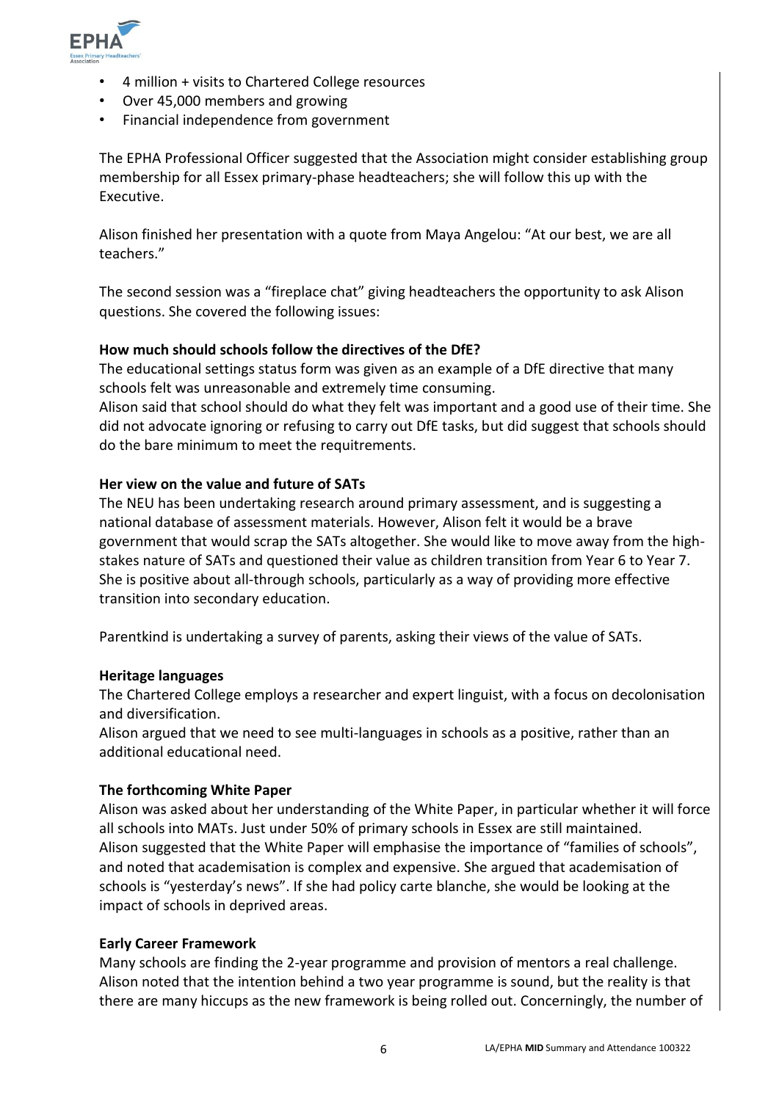

- 4 million + visits to Chartered College resources
- Over 45,000 members and growing
- Financial independence from government

The EPHA Professional Officer suggested that the Association might consider establishing group membership for all Essex primary-phase headteachers; she will follow this up with the Executive.

Alison finished her presentation with a quote from Maya Angelou: "At our best, we are all teachers."

The second session was a "fireplace chat" giving headteachers the opportunity to ask Alison questions. She covered the following issues:

#### **How much should schools follow the directives of the DfE?**

The educational settings status form was given as an example of a DfE directive that many schools felt was unreasonable and extremely time consuming.

Alison said that school should do what they felt was important and a good use of their time. She did not advocate ignoring or refusing to carry out DfE tasks, but did suggest that schools should do the bare minimum to meet the requitrements.

#### **Her view on the value and future of SATs**

The NEU has been undertaking research around primary assessment, and is suggesting a national database of assessment materials. However, Alison felt it would be a brave government that would scrap the SATs altogether. She would like to move away from the highstakes nature of SATs and questioned their value as children transition from Year 6 to Year 7. She is positive about all-through schools, particularly as a way of providing more effective transition into secondary education.

Parentkind is undertaking a survey of parents, asking their views of the value of SATs.

#### **Heritage languages**

The Chartered College employs a researcher and expert linguist, with a focus on decolonisation and diversification.

Alison argued that we need to see multi-languages in schools as a positive, rather than an additional educational need.

#### **The forthcoming White Paper**

Alison was asked about her understanding of the White Paper, in particular whether it will force all schools into MATs. Just under 50% of primary schools in Essex are still maintained. Alison suggested that the White Paper will emphasise the importance of "families of schools", and noted that academisation is complex and expensive. She argued that academisation of schools is "yesterday's news". If she had policy carte blanche, she would be looking at the impact of schools in deprived areas.

#### **Early Career Framework**

Many schools are finding the 2-year programme and provision of mentors a real challenge. Alison noted that the intention behind a two year programme is sound, but the reality is that there are many hiccups as the new framework is being rolled out. Concerningly, the number of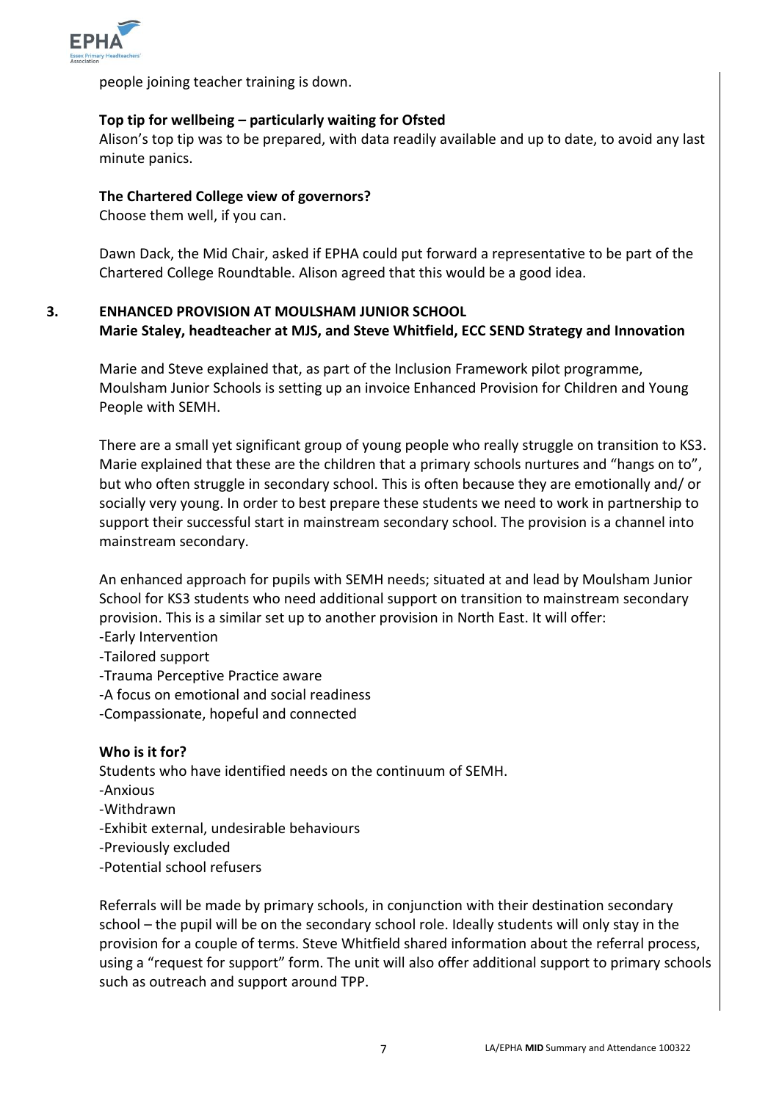

people joining teacher training is down.

# **Top tip for wellbeing – particularly waiting for Ofsted**

Alison's top tip was to be prepared, with data readily available and up to date, to avoid any last minute panics.

## **The Chartered College view of governors?**

Choose them well, if you can.

Dawn Dack, the Mid Chair, asked if EPHA could put forward a representative to be part of the Chartered College Roundtable. Alison agreed that this would be a good idea.

# **3. ENHANCED PROVISION AT MOULSHAM JUNIOR SCHOOL Marie Staley, headteacher at MJS, and Steve Whitfield, ECC SEND Strategy and Innovation**

Marie and Steve explained that, as part of the Inclusion Framework pilot programme, Moulsham Junior Schools is setting up an invoice Enhanced Provision for Children and Young People with SEMH.

There are a small yet significant group of young people who really struggle on transition to KS3. Marie explained that these are the children that a primary schools nurtures and "hangs on to", but who often struggle in secondary school. This is often because they are emotionally and/ or socially very young. In order to best prepare these students we need to work in partnership to support their successful start in mainstream secondary school. The provision is a channel into mainstream secondary.

An enhanced approach for pupils with SEMH needs; situated at and lead by Moulsham Junior School for KS3 students who need additional support on transition to mainstream secondary provision. This is a similar set up to another provision in North East. It will offer:

- -Early Intervention
- -Tailored support
- -Trauma Perceptive Practice aware
- -A focus on emotional and social readiness
- -Compassionate, hopeful and connected

# **Who is it for?**

Students who have identified needs on the continuum of SEMH.

- -Anxious
- -Withdrawn
- -Exhibit external, undesirable behaviours
- -Previously excluded
- -Potential school refusers

Referrals will be made by primary schools, in conjunction with their destination secondary school – the pupil will be on the secondary school role. Ideally students will only stay in the provision for a couple of terms. Steve Whitfield shared information about the referral process, using a "request for support" form. The unit will also offer additional support to primary schools such as outreach and support around TPP.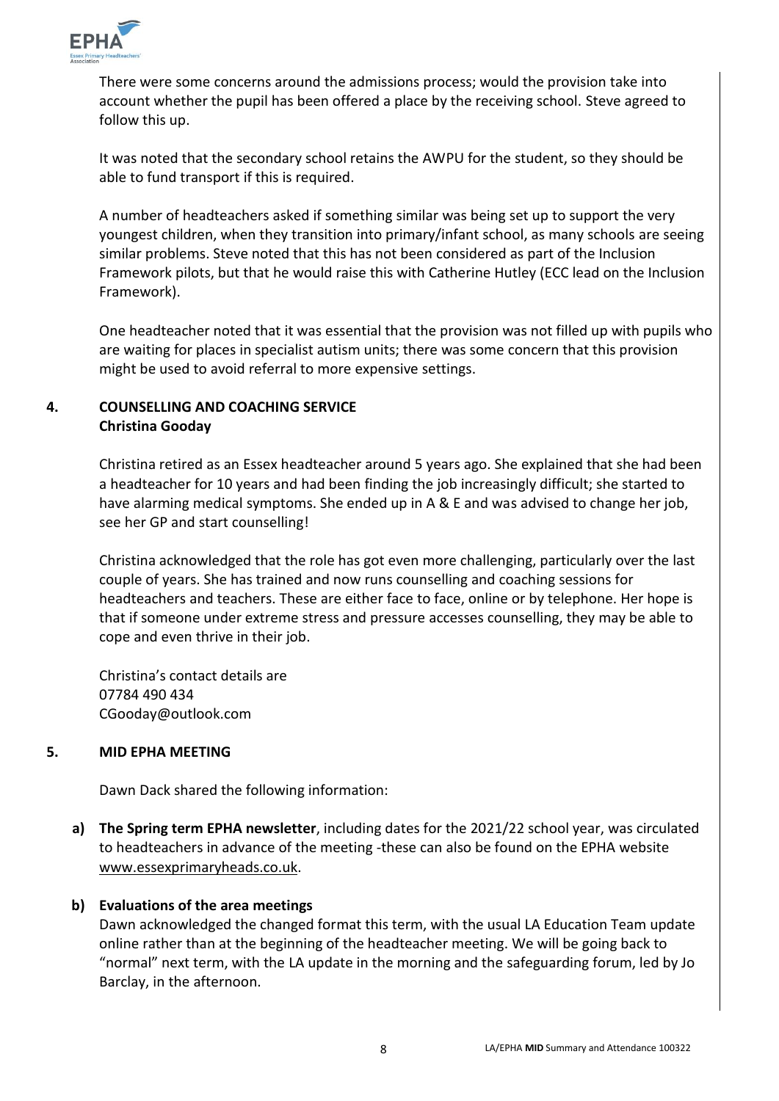

There were some concerns around the admissions process; would the provision take into account whether the pupil has been offered a place by the receiving school. Steve agreed to follow this up.

It was noted that the secondary school retains the AWPU for the student, so they should be able to fund transport if this is required.

A number of headteachers asked if something similar was being set up to support the very youngest children, when they transition into primary/infant school, as many schools are seeing similar problems. Steve noted that this has not been considered as part of the Inclusion Framework pilots, but that he would raise this with Catherine Hutley (ECC lead on the Inclusion Framework).

One headteacher noted that it was essential that the provision was not filled up with pupils who are waiting for places in specialist autism units; there was some concern that this provision might be used to avoid referral to more expensive settings.

# **4. COUNSELLING AND COACHING SERVICE Christina Gooday**

Christina retired as an Essex headteacher around 5 years ago. She explained that she had been a headteacher for 10 years and had been finding the job increasingly difficult; she started to have alarming medical symptoms. She ended up in A & E and was advised to change her job, see her GP and start counselling!

Christina acknowledged that the role has got even more challenging, particularly over the last couple of years. She has trained and now runs counselling and coaching sessions for headteachers and teachers. These are either face to face, online or by telephone. Her hope is that if someone under extreme stress and pressure accesses counselling, they may be able to cope and even thrive in their job.

Christina's contact details are 07784 490 434 CGooday@outlook.com

#### **5. MID EPHA MEETING**

Dawn Dack shared the following information:

**a) The Spring term EPHA newsletter**, including dates for the 2021/22 school year, was circulated to headteachers in advance of the meeting -these can also be found on the EPHA website [www.essexprimaryheads.co.uk.](http://www.essexprimaryheads.co.uk/)

# **b) Evaluations of the area meetings**

Dawn acknowledged the changed format this term, with the usual LA Education Team update online rather than at the beginning of the headteacher meeting. We will be going back to "normal" next term, with the LA update in the morning and the safeguarding forum, led by Jo Barclay, in the afternoon.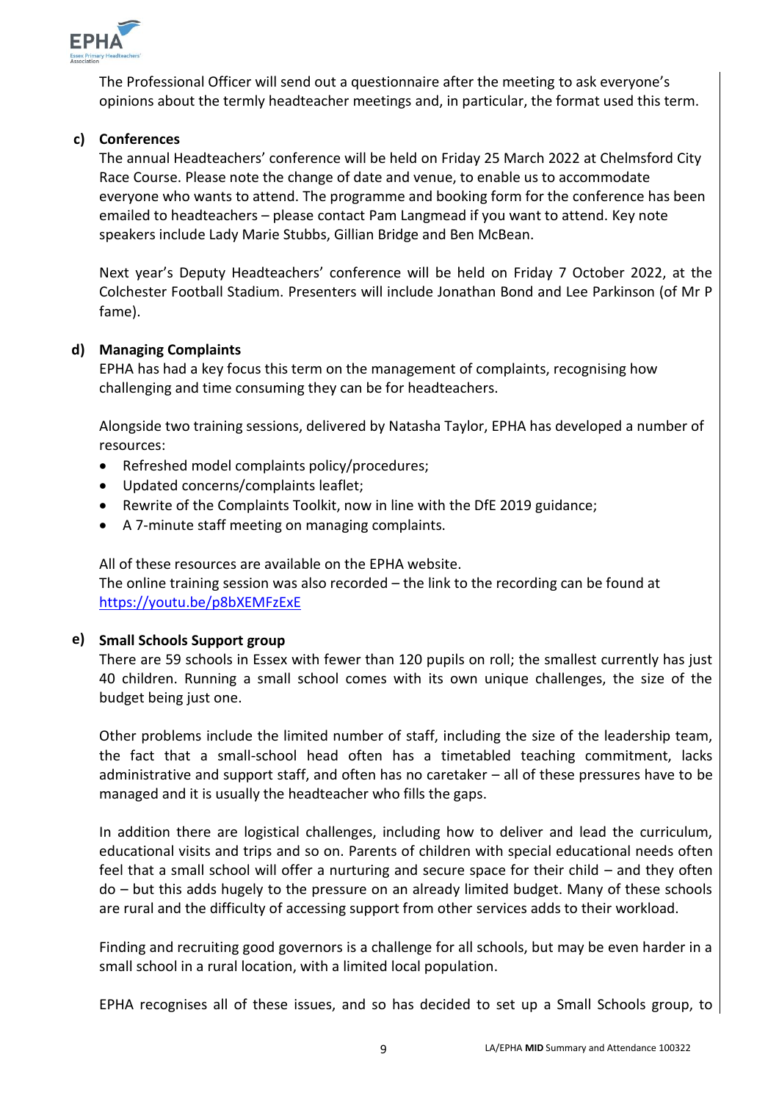

The Professional Officer will send out a questionnaire after the meeting to ask everyone's opinions about the termly headteacher meetings and, in particular, the format used this term.

# **c) Conferences**

The annual Headteachers' conference will be held on Friday 25 March 2022 at Chelmsford City Race Course. Please note the change of date and venue, to enable us to accommodate everyone who wants to attend. The programme and booking form for the conference has been emailed to headteachers – please contact Pam Langmead if you want to attend. Key note speakers include Lady Marie Stubbs, Gillian Bridge and Ben McBean.

Next year's Deputy Headteachers' conference will be held on Friday 7 October 2022, at the Colchester Football Stadium. Presenters will include Jonathan Bond and Lee Parkinson (of Mr P fame).

# **d) Managing Complaints**

EPHA has had a key focus this term on the management of complaints, recognising how challenging and time consuming they can be for headteachers.

Alongside two training sessions, delivered by Natasha Taylor, EPHA has developed a number of resources:

- Refreshed model complaints policy/procedures;
- Updated concerns/complaints leaflet;
- Rewrite of the Complaints Toolkit, now in line with the DfE 2019 guidance;
- A 7-minute staff meeting on managing complaints.

All of these resources are available on the EPHA website.

The online training session was also recorded – the link to the recording can be found at <https://youtu.be/p8bXEMFzExE>

### **e) Small Schools Support group**

There are 59 schools in Essex with fewer than 120 pupils on roll; the smallest currently has just 40 children. Running a small school comes with its own unique challenges, the size of the budget being just one.

Other problems include the limited number of staff, including the size of the leadership team, the fact that a small-school head often has a timetabled teaching commitment, lacks administrative and support staff, and often has no caretaker – all of these pressures have to be managed and it is usually the headteacher who fills the gaps.

In addition there are logistical challenges, including how to deliver and lead the curriculum, educational visits and trips and so on. Parents of children with special educational needs often feel that a small school will offer a nurturing and secure space for their child – and they often do – but this adds hugely to the pressure on an already limited budget. Many of these schools are rural and the difficulty of accessing support from other services adds to their workload.

Finding and recruiting good governors is a challenge for all schools, but may be even harder in a small school in a rural location, with a limited local population.

EPHA recognises all of these issues, and so has decided to set up a Small Schools group, to